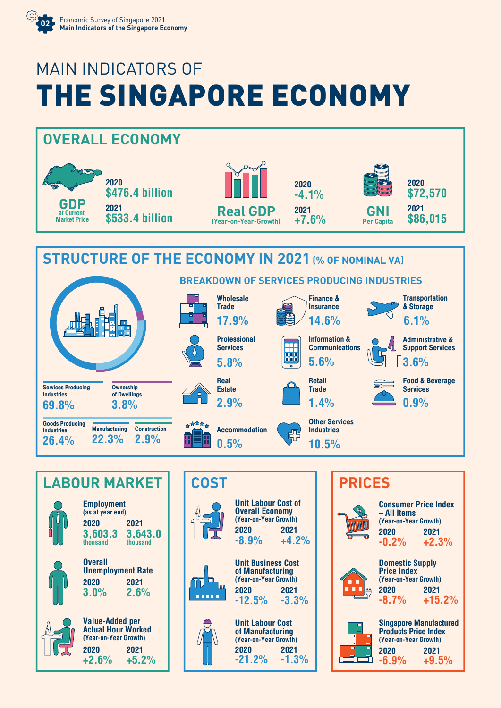

## MAIN INDICATORS OF THE SINGAPORE ECONOMY





**2020 2021 +2.6% +5.2%**





**Consumer Price Index – All Items (Year-on-Year Growth) 2020 2021 -0.2% +2.3% Domestic Supply Price Index (Year-on-Year Growth) 2020 2021** ш **-8.7% +15.2% Singapore Manufactured Products Price Index (Year-on-Year Growth) 2020 2021 -6.9% +9.5%**